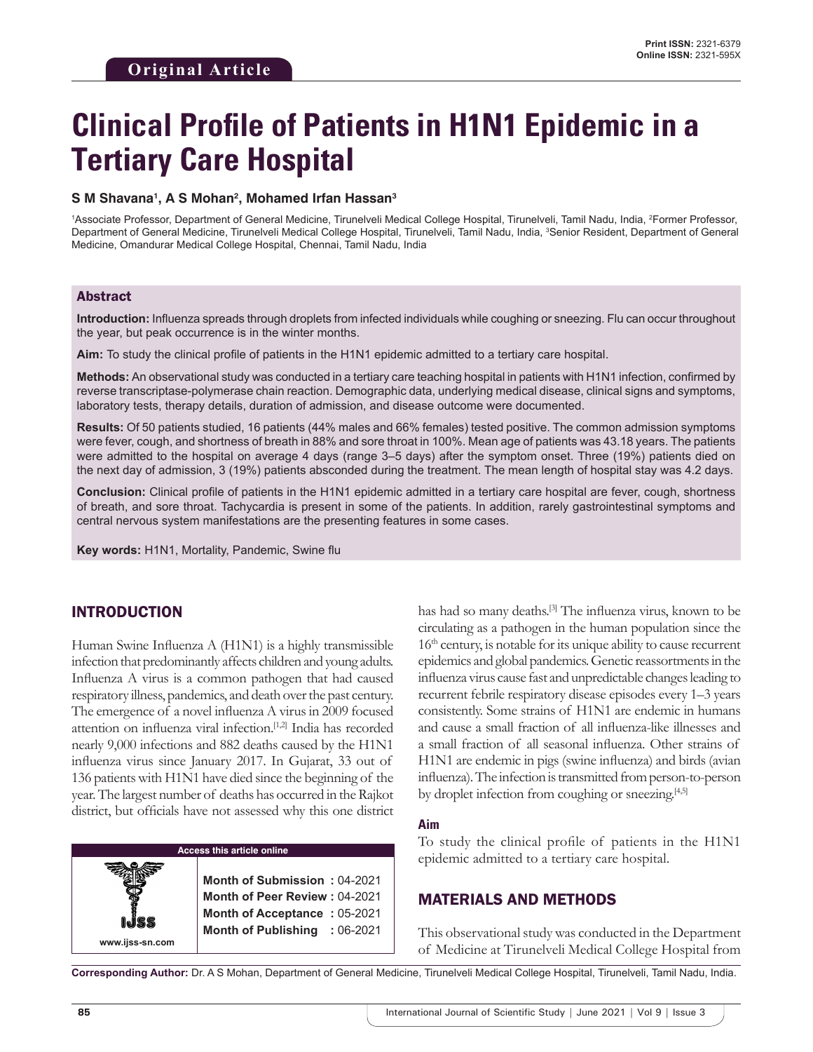# **Clinical Profile of Patients in H1N1 Epidemic in a Tertiary Care Hospital**

#### **S M Shavana1 , A S Mohan2 , Mohamed Irfan Hassan3**

1 Associate Professor, Department of General Medicine, Tirunelveli Medical College Hospital, Tirunelveli, Tamil Nadu, India, 2 Former Professor, Department of General Medicine, Tirunelveli Medical College Hospital, Tirunelveli, Tamil Nadu, India, 3 Senior Resident, Department of General Medicine, Omandurar Medical College Hospital, Chennai, Tamil Nadu, India

#### Abstract

**Introduction:** Influenza spreads through droplets from infected individuals while coughing or sneezing. Flu can occur throughout the year, but peak occurrence is in the winter months.

**Aim:** To study the clinical profile of patients in the H1N1 epidemic admitted to a tertiary care hospital.

**Methods:** An observational study was conducted in a tertiary care teaching hospital in patients with H1N1 infection, confirmed by reverse transcriptase-polymerase chain reaction. Demographic data, underlying medical disease, clinical signs and symptoms, laboratory tests, therapy details, duration of admission, and disease outcome were documented.

**Results:** Of 50 patients studied, 16 patients (44% males and 66% females) tested positive. The common admission symptoms were fever, cough, and shortness of breath in 88% and sore throat in 100%. Mean age of patients was 43.18 years. The patients were admitted to the hospital on average 4 days (range 3–5 days) after the symptom onset. Three (19%) patients died on the next day of admission, 3 (19%) patients absconded during the treatment. The mean length of hospital stay was 4.2 days.

**Conclusion:** Clinical profile of patients in the H1N1 epidemic admitted in a tertiary care hospital are fever, cough, shortness of breath, and sore throat. Tachycardia is present in some of the patients. In addition, rarely gastrointestinal symptoms and central nervous system manifestations are the presenting features in some cases.

**Key words:** H1N1, Mortality, Pandemic, Swine flu

## INTRODUCTION

Human Swine Influenza A (H1N1) is a highly transmissible infection that predominantly affects children and young adults. Influenza A virus is a common pathogen that had caused respiratory illness, pandemics, and death over the past century. The emergence of a novel influenza A virus in 2009 focused attention on influenza viral infection.[1,2] India has recorded nearly 9,000 infections and 882 deaths caused by the H1N1 influenza virus since January 2017. In Gujarat, 33 out of 136 patients with H1N1 have died since the beginning of the year. The largest number of deaths has occurred in the Rajkot district, but officials have not assessed why this one district



**www.ijss-sn.com**

has had so many deaths.<sup>[3]</sup> The influenza virus, known to be circulating as a pathogen in the human population since the 16<sup>th</sup> century, is notable for its unique ability to cause recurrent epidemics and global pandemics. Genetic reassortments in the influenza virus cause fast and unpredictable changes leading to recurrent febrile respiratory disease episodes every 1–3 years consistently. Some strains of H1N1 are endemic in humans and cause a small fraction of all influenza-like illnesses and a small fraction of all seasonal influenza. Other strains of H1N1 are endemic in pigs (swine influenza) and birds (avian influenza). The infection is transmitted from person-to-person by droplet infection from coughing or sneezing.<sup>[4,5]</sup>

#### **Aim**

To study the clinical profile of patients in the H1N1 epidemic admitted to a tertiary care hospital.

### MATERIALS AND METHODS

This observational study was conducted in the Department of Medicine at Tirunelveli Medical College Hospital from

**Corresponding Author:** Dr. A S Mohan, Department of General Medicine, Tirunelveli Medical College Hospital, Tirunelveli, Tamil Nadu, India.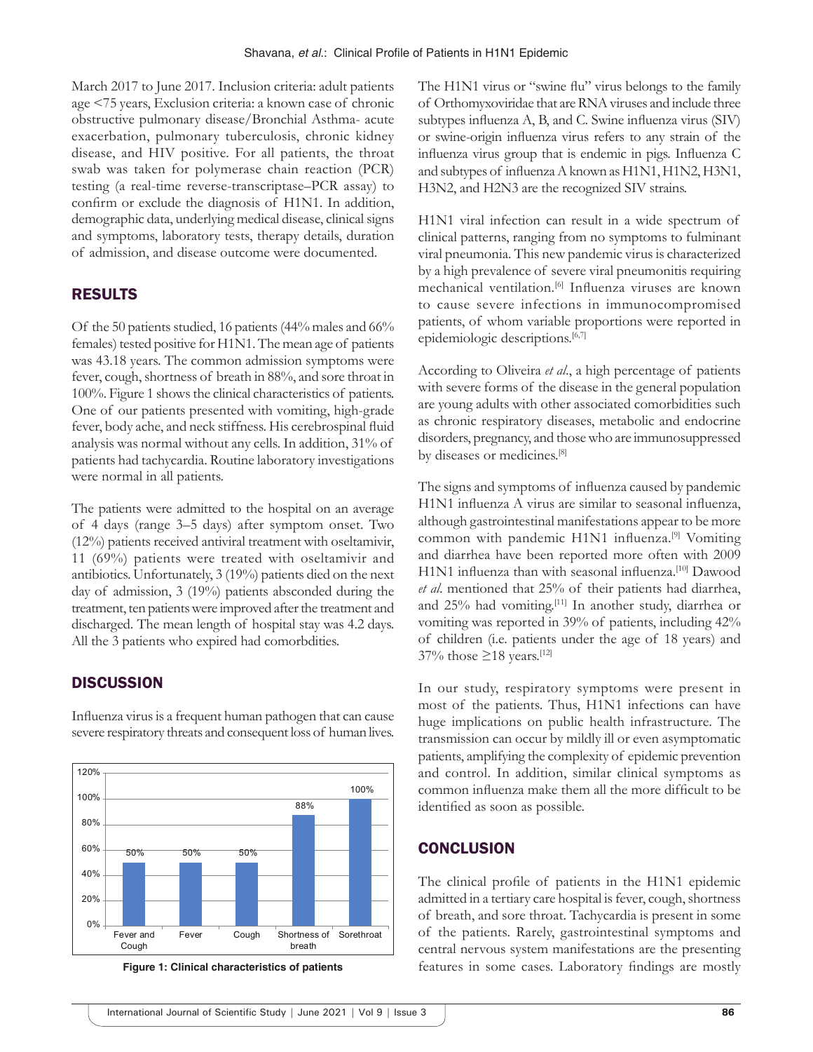March 2017 to June 2017. Inclusion criteria: adult patients age <75 years, Exclusion criteria: a known case of chronic obstructive pulmonary disease/Bronchial Asthma- acute exacerbation, pulmonary tuberculosis, chronic kidney disease, and HIV positive. For all patients, the throat swab was taken for polymerase chain reaction (PCR) testing (a real-time reverse-transcriptase–PCR assay) to confirm or exclude the diagnosis of H1N1. In addition, demographic data, underlying medical disease, clinical signs and symptoms, laboratory tests, therapy details, duration of admission, and disease outcome were documented.

### RESULTS

Of the 50 patients studied, 16 patients (44% males and 66% females) tested positive for H1N1. The mean age of patients was 43.18 years. The common admission symptoms were fever, cough, shortness of breath in 88%, and sore throat in 100%. Figure 1 shows the clinical characteristics of patients. One of our patients presented with vomiting, high-grade fever, body ache, and neck stiffness. His cerebrospinal fluid analysis was normal without any cells. In addition, 31% of patients had tachycardia. Routine laboratory investigations were normal in all patients.

The patients were admitted to the hospital on an average of 4 days (range 3–5 days) after symptom onset. Two (12%) patients received antiviral treatment with oseltamivir, 11 (69%) patients were treated with oseltamivir and antibiotics. Unfortunately, 3 (19%) patients died on the next day of admission, 3 (19%) patients absconded during the treatment, ten patients were improved after the treatment and discharged. The mean length of hospital stay was 4.2 days. All the 3 patients who expired had comorbdities.

### **DISCUSSION**

Influenza virus is a frequent human pathogen that can cause severe respiratory threats and consequent loss of human lives.



**Figure 1: Clinical characteristics of patients**

The H1N1 virus or "swine flu" virus belongs to the family of Orthomyxoviridae that are RNA viruses and include three subtypes influenza A, B, and C. Swine influenza virus (SIV) or swine-origin influenza virus refers to any strain of the influenza virus group that is endemic in pigs. Influenza C and subtypes of influenza A known as H1N1, H1N2, H3N1, H3N2, and H2N3 are the recognized SIV strains.

H1N1 viral infection can result in a wide spectrum of clinical patterns, ranging from no symptoms to fulminant viral pneumonia. This new pandemic virus is characterized by a high prevalence of severe viral pneumonitis requiring mechanical ventilation.[6] Influenza viruses are known to cause severe infections in immunocompromised patients, of whom variable proportions were reported in epidemiologic descriptions.<sup>[6,7]</sup>

According to Oliveira *et al*., a high percentage of patients with severe forms of the disease in the general population are young adults with other associated comorbidities such as chronic respiratory diseases, metabolic and endocrine disorders, pregnancy, and those who are immunosuppressed by diseases or medicines.[8]

The signs and symptoms of influenza caused by pandemic H1N1 influenza A virus are similar to seasonal influenza, although gastrointestinal manifestations appear to be more common with pandemic H1N1 influenza.<sup>[9]</sup> Vomiting and diarrhea have been reported more often with 2009 H1N1 influenza than with seasonal influenza.<sup>[10]</sup> Dawood *et al*. mentioned that 25% of their patients had diarrhea, and 25% had vomiting.[11] In another study, diarrhea or vomiting was reported in 39% of patients, including 42% of children (i.e. patients under the age of 18 years) and 37% those  $\geq$ 18 years.<sup>[12]</sup>

In our study, respiratory symptoms were present in most of the patients. Thus, H1N1 infections can have huge implications on public health infrastructure. The transmission can occur by mildly ill or even asymptomatic patients, amplifying the complexity of epidemic prevention and control. In addition, similar clinical symptoms as common influenza make them all the more difficult to be identified as soon as possible.

#### **CONCLUSION**

The clinical profile of patients in the H1N1 epidemic admitted in a tertiary care hospital is fever, cough, shortness of breath, and sore throat. Tachycardia is present in some of the patients. Rarely, gastrointestinal symptoms and central nervous system manifestations are the presenting features in some cases. Laboratory findings are mostly